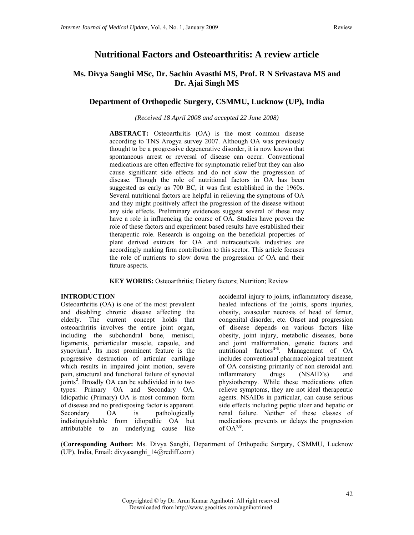# **Nutritional Factors and Osteoarthritis: A review article**

# **Ms. Divya Sanghi MSc, Dr. Sachin Avasthi MS, Prof. R N Srivastava MS and Dr. Ajai Singh MS**

# **Department of Orthopedic Surgery, CSMMU, Lucknow (UP), India**

*(Received 18 April 2008 and accepted 22 June 2008)* 

**ABSTRACT:** Osteoarthritis (OA) is the most common disease according to TNS Arogya survey 2007. Although OA was previously thought to be a progressive degenerative disorder, it is now known that spontaneous arrest or reversal of disease can occur. Conventional medications are often effective for symptomatic relief but they can also cause significant side effects and do not slow the progression of disease. Though the role of nutritional factors in OA has been suggested as early as 700 BC, it was first established in the 1960s. Several nutritional factors are helpful in relieving the symptoms of OA and they might positively affect the progression of the disease without any side effects. Preliminary evidences suggest several of these may have a role in influencing the course of OA. Studies have proven the role of these factors and experiment based results have established their therapeutic role. Research is ongoing on the beneficial properties of plant derived extracts for OA and nutraceuticals industries are accordingly making firm contribution to this sector. This article focuses the role of nutrients to slow down the progression of OA and their future aspects.

**KEY WORDS:** Osteoarthritis; Dietary factors; Nutrition; Review

### **INTRODUCTION**

Osteoarthritis (OA) is one of the most prevalent and disabling chronic disease affecting the elderly. The current concept holds that osteoarthritis involves the entire joint organ, including the subchondral bone, menisci, ligaments, periarticular muscle, capsule, and synovium**<sup>1</sup>** . Its most prominent feature is the progressive destruction of articular cartilage which results in impaired joint motion, severe pain, structural and functional failure of synovial joints**<sup>2</sup>** . Broadly OA can be subdivided in to two types: Primary OA and Secondary OA. Idiopathic (Primary) OA is most common form of disease and no predisposing factor is apparent. Secondary OA is pathologically indistinguishable from idiopathic OA but attributable to an underlying cause like

accidental injury to joints, inflammatory disease, healed infections of the joints, sports injuries, obesity, avascular necrosis of head of femur, congenital disorder, etc. Onset and progression of disease depends on various factors like obesity, joint injury, metabolic diseases, bone and joint malformation, genetic factors and nutritional factors**3-6**. Management of OA includes conventional pharmacological treatment of OA consisting primarily of non steroidal anti inflammatory drugs (NSAID's) and physiotherapy. While these medications often relieve symptoms, they are not ideal therapeutic agents. NSAIDs in particular, can cause serious side effects including peptic ulcer and hepatic or renal failure. Neither of these classes of medications prevents or delays the progression of OA**7,8**.

(**Corresponding Author:** Ms. Divya Sanghi, Department of Orthopedic Surgery, CSMMU, Lucknow (UP), India, Email: divyasanghi\_14@rediff.com)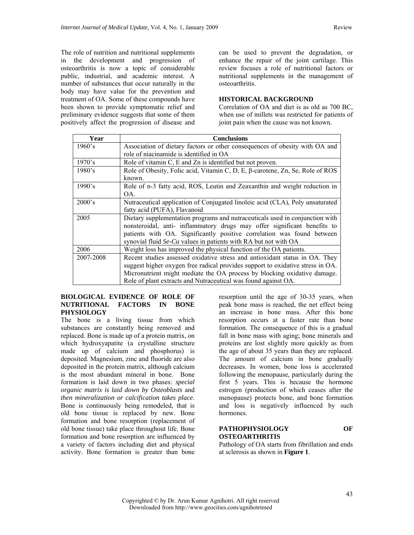The role of nutrition and nutritional supplements in the development and progression of osteoarthritis is now a topic of considerable public, industrial, and academic interest. A number of substances that occur naturally in the body may have value for the prevention and treatment of OA. Some of these compounds have been shown to provide symptomatic relief and preliminary evidence suggests that some of them positively affect the progression of disease and

can be used to prevent the degradation, or enhance the repair of the joint cartilage. This review focuses a role of nutritional factors or nutritional supplements in the management of osteoarthritis.

### **HISTORICAL BACKGROUND**

Correlation of OA and diet is as old as 700 BC, when use of millets was restricted for patients of joint pain when the cause was not known.

| Year      | <b>Conclusions</b>                                                                                                                                                                                                                                                                                          |
|-----------|-------------------------------------------------------------------------------------------------------------------------------------------------------------------------------------------------------------------------------------------------------------------------------------------------------------|
| 1960's    | Association of dietary factors or other consequences of obesity with OA and                                                                                                                                                                                                                                 |
|           | role of niacinamide is identified in OA                                                                                                                                                                                                                                                                     |
| 1970's    | Role of vitamin C, E and Zn is identified but not proven.                                                                                                                                                                                                                                                   |
| 1980's    | Role of Obesity, Folic acid, Vitamin C, D, E, β-carotene, Zn, Se, Role of ROS<br>known.                                                                                                                                                                                                                     |
| 1990's    | Role of n-3 fatty acid, ROS, Leutin and Zeaxanthin and weight reduction in<br>OA.                                                                                                                                                                                                                           |
| 2000's    | Nutraceutical application of Conjugated linoleic acid (CLA), Poly unsaturated<br>fatty acid (PUFA), Flavanoid                                                                                                                                                                                               |
| 2005      | Dietary supplementation programs and nutraceuticals used in conjunction with<br>nonsteroidal, anti- inflammatory drugs may offer significant benefits to<br>patients with OA. Significantly positive correlation was found between<br>synovial fluid Se-Cu values in patients with RA but not with OA       |
| 2006      | Weight loss has improved the physical function of the OA patients.                                                                                                                                                                                                                                          |
| 2007-2008 | Recent studies assessed oxidative stress and antioxidant status in OA. They<br>suggest higher oxygen free radical provides support to oxidative stress in OA.<br>Micronutrient might mediate the OA process by blocking oxidative damage.<br>Role of plant extracts and Nutraceutical was found against OA. |

### **BIOLOGICAL EVIDENCE OF ROLE OF NUTRITIONAL FACTORS IN BONE PHYSIOLOGY**

The bone is a living tissue from which substances are constantly being removed and replaced. Bone is made up of a protein matrix, on which hydroxyapatite (a crystalline structure made up of calcium and phosphorus) is deposited. Magnesium, zinc and fluoride are also deposited in the protein matrix, although calcium is the most abundant mineral in bone. Bone formation is laid down in two phases: *special organic matrix is laid down by Osteoblasts* and *then mineralization or calcification takes place*. Bone is continuously being remodeled, that is old bone tissue is replaced by new. Bone formation and bone resorption (replacement of old bone tissue) take place throughout life. Bone formation and bone resorption are influenced by a variety of factors including diet and physical activity. Bone formation is greater than bone

resorption until the age of 30-35 years, when peak bone mass is reached, the net effect being an increase in bone mass. After this bone resorption occurs at a faster rate than bone formation. The consequence of this is a gradual fall in bone mass with aging; bone minerals and proteins are lost slightly more quickly as from the age of about 35 years than they are replaced. The amount of calcium in bone gradually decreases. In women, bone loss is accelerated following the menopause, particularly during the first 5 years. This is because the hormone estrogen (production of which ceases after the menopause) protects bone, and bone formation and loss is negatively influenced by such hormones.

### **PATHOPHYSIOLOGY OF OSTEOARTHRITIS**

Pathology of OA starts from fibrillation and ends at sclerosis as shown in **Figure 1**.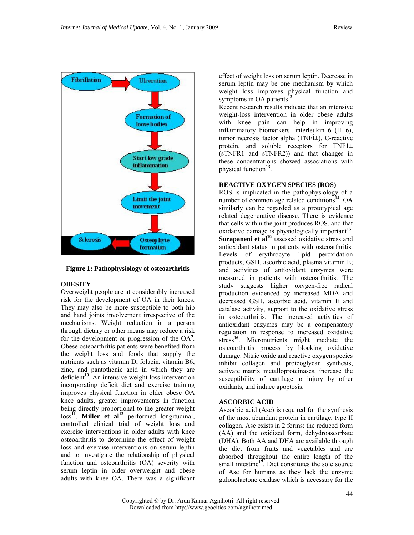

**Figure 1: Pathophysiology of osteoarthritis** 

### **OBESITY**

Overweight people are at considerably increased risk for the development of OA in their knees. They may also be more susceptible to both hip and hand joints involvement irrespective of the mechanisms. Weight reduction in a person through dietary or other means may reduce a risk for the development or progression of the OA**<sup>9</sup>** . Obese osteoarthritis patients were benefited from the weight loss and foods that supply the nutrients such as vitamin D, folacin, vitamin B6, zinc, and pantothenic acid in which they are deficient**<sup>10</sup>**. An intensive weight loss intervention incorporating deficit diet and exercise training improves physical function in older obese OA knee adults, greater improvements in function being directly proportional to the greater weight  $\cos^{11}$ . **Miller et al**<sup>12</sup> performed longitudinal, controlled clinical trial of weight loss and exercise interventions in older adults with knee osteoarthritis to determine the effect of weight loss and exercise interventions on serum leptin and to investigate the relationship of physical function and osteoarthritis (OA) severity with serum leptin in older overweight and obese adults with knee OA. There was a significant

effect of weight loss on serum leptin. Decrease in serum leptin may be one mechanism by which weight loss improves physical function and symptoms in OA patients<sup>1</sup>

Recent research results indicate that an intensive weight-loss intervention in older obese adults with knee pain can help in improving inflammatory biomarkers- interleukin 6 (IL-6), tumor necrosis factor alpha (TNF $\hat{I}^{\pm}$ ), C-reactive protein, and soluble receptors for TNF1± (sTNFR1 and sTNFR2)) and that changes in these concentrations showed associations with physical function**<sup>13</sup>**.

### **REACTIVE OXYGEN SPECIES (ROS)**

ROS is implicated in the pathophysiology of a number of common age related conditions**<sup>14</sup>**. OA similarly can be regarded as a prototypical age related degenerative disease. There is evidence that cells within the joint produces ROS, and that oxidative damage is physiologically important**<sup>15</sup>**. **Surapaneni et al<sup>16</sup>** assessed oxidative stress and antioxidant status in patients with osteoarthritis. Levels of erythrocyte lipid peroxidation products, GSH, ascorbic acid, plasma vitamin E; and activities of antioxidant enzymes were measured in patients with osteoarthritis. The study suggests higher oxygen-free radical production evidenced by increased MDA and decreased GSH, ascorbic acid, vitamin E and catalase activity, support to the oxidative stress in osteoarthritis. The increased activities of antioxidant enzymes may be a compensatory regulation in response to increased oxidative stress<sup>16</sup>. Micronutrients might mediate the osteoarthritis process by blocking oxidative damage. Nitric oxide and reactive oxygen species inhibit collagen and proteoglycan synthesis, activate matrix metalloproteinases, increase the susceptibility of cartilage to injury by other oxidants, and induce apoptosis.

### **ASCORBIC ACID**

Ascorbic acid (Asc) is required for the synthesis of the most abundant protein in cartilage, type II collagen. Asc exists in 2 forms: the reduced form (AA) and the oxidized form, dehydroascorbate (DHA). Both AA and DHA are available through the diet from fruits and vegetables and are absorbed throughout the entire length of the small intestine<sup>17</sup>. Diet constitutes the sole source of Asc for humans as they lack the enzyme gulonolactone oxidase which is necessary for the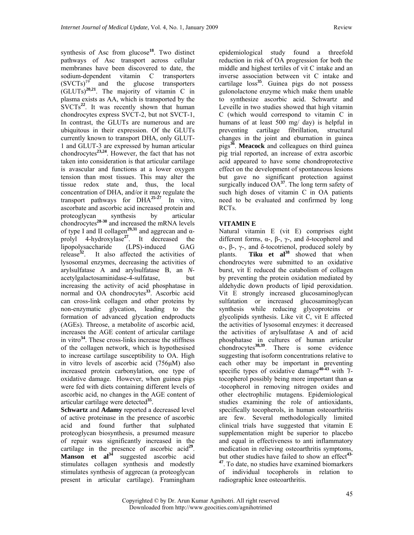synthesis of Asc from glucose**<sup>18</sup>**. Two distinct pathways of Asc transport across cellular membranes have been discovered to date, the sodium-dependent vitamin C transporters<br>(SVCTs)<sup>19</sup> and the glucose transporters and the glucose transporters  $(GLUTs)<sup>20,21</sup>$ . The majority of vitamin C in plasma exists as AA, which is transported by the SVCTs<sup>22</sup>. It was recently shown that human chondrocytes express SVCT-2, but not SVCT-1, In contrast, the GLUTs are numerous and are ubiquitous in their expression. Of the GLUTs currently known to transport DHA, only GLUT-1 and GLUT-3 are expressed by human articular chondrocytes**23,24**. However, the fact that has not taken into consideration is that articular cartilage is avascular and functions at a lower oxygen tension than most tissues. This may alter the tissue redox state and, thus, the local concentration of DHA, and/or it may regulate the transport pathways for DHA**25-27**. In vitro, ascorbate and ascorbic acid increased protein and proteoglycan synthesis by articular chondrocytes**28-30** and increased the mRNA levels of type I and II collagen<sup>29,31</sup> and aggreean and  $\alpha$ prolyl 4-hydroxylase**<sup>27</sup>**. It decreased the lipopolysaccharide (LPS)-induced GAG release**<sup>32</sup>**. It also affected the activities of lysosomal enzymes, decreasing the activities of arylsulfatase A and arylsulfatase B, an *N*acetylgalactosaminidase-4-sulfatase, but increasing the activity of acid phosphatase in normal and OA chondrocytes**<sup>33</sup>**. Ascorbic acid can cross-link collagen and other proteins by non-enzymatic glycation, leading to the formation of advanced glycation endproducts (AGEs). Threose, a metabolite of ascorbic acid, increases the AGE content of articular cartilage in vitro**<sup>34</sup>**. These cross-links increase the stiffness of the collagen network, which is hypothesised to increase cartilage susceptibility to OA. High in vitro levels of ascorbic acid (756µM) also increased protein carbonylation, one type of oxidative damage. However, when guinea pigs were fed with diets containing different levels of ascorbic acid, no changes in the AGE content of articular cartilage were detected**<sup>35</sup>**.

**Schwartz** and **Adamy** reported a decreased level of active proteinase in the presence of ascorbic acid and found further that sulphated proteoglycan biosynthesis, a presumed measure of repair was significantly increased in the cartilage in the presence of ascorbic acid**<sup>29</sup>**. Manson et al<sup>34</sup> suggested ascorbic acid stimulates collagen synthesis and modestly stimulates synthesis of aggrecan (a proteoglycan present in articular cartilage). Framingham

epidemiological study found a threefold reduction in risk of OA progression for both the middle and highest tertiles of vit C intake and an inverse association between vit C intake and cartilage loss**<sup>35</sup>**. Guinea pigs do not possess gulonolactone enzyme which make them unable to synthesize ascorbic acid. Schwartz and Leveille in two studies showed that high vitamin C (which would correspond to vitamin C in humans of at least 500 mg/ day) is helpful in preventing cartilage fibrillation, structural changes in the joint and eburnation in guinea pigs**<sup>36</sup>**. **Meacock** and colleagues on third guinea pig trial reported, an increase of extra ascorbic acid appeared to have some chondroprotective effect on the development of spontaneous lesions but gave no significant protection against surgically induced OA**<sup>37</sup>**. The long term safety of such high doses of vitamin C in OA patients need to be evaluated and confirmed by long RCTs.

# **VITAMIN E**

Natural vitamin E (vit E) comprises eight different forms, α-, β-, γ-, and δ-tocopherol and α-, β-, γ-, and δ-tocotrienol, produced solely by plants. **Tiku et al<sup>38</sup>** showed that when chondrocytes were submitted to an oxidative burst, vit E reduced the catabolism of collagen by preventing the protein oxidation mediated by aldehydic down products of lipid peroxidation. Vit E strongly increased glucosaminoglycan sulfatation or increased glucosaminoglycan synthesis while reducing glycoproteins or glycolipids synthesis. Like vit C, vit E affected the activities of lysosomal enzymes: it decreased the activities of arylsulfatase A and of acid phosphatase in cultures of human articular chondrocytes**38,39**. There is some evidence suggesting that isoform concentrations relative to each other may be important in preventing specific types of oxidative damage<sup>40-43</sup> with  $T$ tocopherol possibly being more important than  $\alpha$ -tocopherol in removing nitrogen oxides and other electrophilic mutagens. Epidemiological studies examining the role of antioxidants, specifically tocopherols, in human osteoarthritis are few. Several methodologically limited clinical trials have suggested that vitamin E supplementation might be superior to placebo and equal in effectiveness to anti inflammatory medication in relieving osteoarthritis symptoms, but other studies have failed to show an effect**43- <sup>47</sup>**. To date, no studies have examined biomarkers of individual tocopherols in relation to radiographic knee osteoarthritis.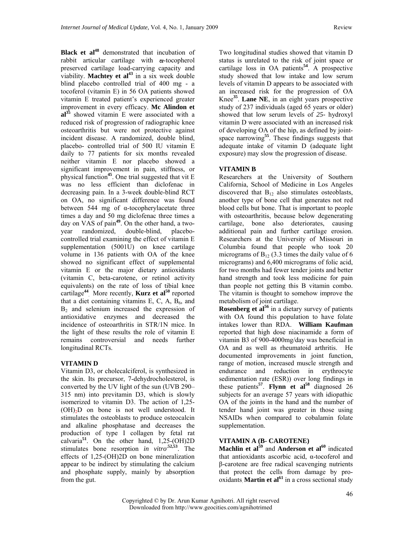**Black et al<sup>48</sup>** demonstrated that incubation of  $r$ abbit articular cartilage with  $r$ -tocopherol preserved cartilage load-carrying capacity and viability. **Machtey et al**<sup>43</sup> in a six week double blind placebo controlled trial of 400 mg - a tocoferol (vitamin E) in 56 OA patients showed vitamin E treated patient's experienced greater improvement in every efficacy. **Mc Alindon et**  al<sup>35</sup> showed vitamin E were associated with a reduced risk of progression of radiographic knee osteoarthritis but were not protective against incident disease. A randomized, double blind, placebo- controlled trial of 500 IU vitamin E daily to 77 patients for six months revealed neither vitamin E nor placebo showed a significant improvement in pain, stiffness, or physical function**<sup>45</sup>**. One trial suggested that vit E was no less efficient than diclofenac in decreasing pain. In a 3-week double-blind RCT on OA, no significant difference was found between 544 mg of α-tocopherylacetate three times a day and 50 mg diclofenac three times a day on VAS of pain**<sup>49</sup>**. On the other hand, a twoyear randomized, double-blind, placebocontrolled trial examining the effect of vitamin E supplementation (5001U) on knee cartilage volume in 136 patients with OA of the knee showed no significant effect of supplemental vitamin E or the major dietary antioxidants (vitamin C, beta-carotene, or retinol activity equivalents) on the rate of loss of tibial knee cartilage<sup>44</sup> More recently, **Kurz et al**<sup>50</sup> reported that a diet containing vitamins  $E, C, A, B<sub>6</sub>$ , and  $B<sub>2</sub>$  and selenium increased the expression of antioxidative enzymes and decreased the incidence of osteoarthritis in STR/1N mice. In the light of these results the role of vitamin E remains controversial and needs further longitudinal RCTs.

### **VITAMIN D**

Vitamin D3, or cholecalciferol, is synthesized in the skin. Its precursor, 7-dehydrocholesterol, is converted by the UV light of the sun (UVB 290– 315 nm) into previtamin D3, which is slowly isomerized to vitamin D3. The action of 1,25-  $(OH)<sub>2</sub>D$  on bone is not well understood. It stimulates the osteoblasts to produce osteocalcin and alkaline phosphatase and decreases the production of type I collagen by fetal rat calvaria**<sup>51</sup>**. On the other hand, 1,25-(OH)2D stimulates bone resorption *in vitro,***52,53**. The effects of 1,25-(OH)2D on bone mineralization appear to be indirect by stimulating the calcium and phosphate supply, mainly by absorption from the gut.

Two longitudinal studies showed that vitamin D status is unrelated to the risk of joint space or cartilage loss in OA patients**<sup>54</sup>**. A prospective study showed that low intake and low serum levels of vitamin D appears to be associated with an increased risk for the progression of OA Knee**<sup>35</sup>**. **Lane NE**, in an eight years prospective study of 237 individuals (aged 65 years or older) showed that low serum levels of *25-* hydroxyl vitamin D were associated with an increased risk of developing OA of the hip, as defined by jointspace narrowing<sup>55</sup>. These findings suggests that adequate intake of vitamin D (adequate light exposure) may slow the progression of disease.

# **VITAMIN B**

Researchers at the University of Southern California, School of Medicine in Los Angeles discovered that  $B_{12}$  also stimulates osteoblasts, another type of bone cell that generates not red blood cells but bone. That is important to people with osteoarthritis, because below degenerating cartilage, bone also deteriorates, causing additional pain and further cartilage erosion. Researchers at the University of Missouri in Columbia found that people who took 20 micrograms of  $B_{12}$  (3.3 times the daily value of 6 micrograms) and 6,400 micrograms of folic acid, for two months had fewer tender joints and better hand strength and took less medicine for pain than people not getting this B vitamin combo. The vitamin is thought to somehow improve the metabolism of joint cartilage.

**Rosenberg et al<sup>56</sup>** in a dietary survey of patients with OA found this population to have folate intakes lower than RDA. **William Kaufman** reported that high dose niacinamide a form of vitamin B3 of 900-4000mg/day was beneficial in OA and as well as rheumatoid arthritis. He documented improvements in joint function, range of motion, increased muscle strength and endurance and reduction in erythrocyte sedimentation rate (ESR)) over long findings in these patients<sup>57</sup>. **Flynn et al**<sup>58</sup> diagnosed 26 subjects for an average 57 years with idiopathic OA of the joints in the hand and the number of tender hand joint was greater in those using NSAIDs when compared to cobalamin folate supplementation.

### **VITAMIN A (B- CAROTENE)**

**Machlin et al<sup>59</sup> and Anderson et al<sup>60</sup> indicated** that antioxidants ascorbic acid, α-tocoferol and β-carotene are free radical scavenging nutrients that protect the cells from damage by prooxidants. **Martin et al**<sup>61</sup> in a cross sectional study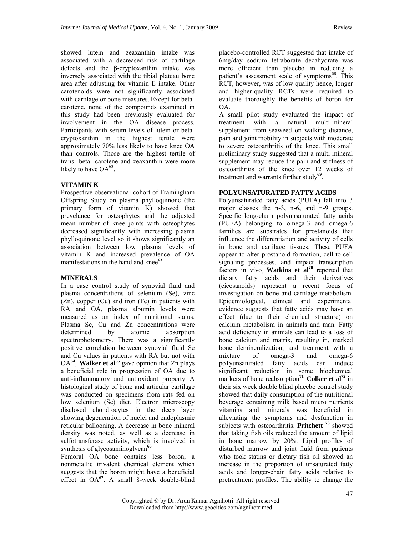showed lutein and zeaxanthin intake was associated with a decreased risk of cartilage defects and the β-cryptoxanthin intake was inversely associated with the tibial plateau bone area after adjusting for vitamin E intake. Other carotenoids were not significantly associated with cartilage or bone measures. Except for betacarotene, none of the compounds examined in this study had been previously evaluated for involvement in the OA disease process. Participants with serum levels of lutein or betacryptoxanthin in the highest tertile were approximately 70% less likely to have knee OA than controls. Those are the highest tertile of trans- beta- carotene and zeaxanthin were more likely to have OA**<sup>62</sup>**.

# **VITAMIN K**

Prospective observational cohort of Framingham Offspring Study on plasma phylloquinone (the primary form of vitamin K) showed that prevelance for osteophytes and the adjusted mean number of knee joints with osteophytes decreased significantly with increasing plasma phylloquinone level so it shows significantly an association between low plasma levels of vitamin K and increased prevalence of OA manifestations in the hand and knee<sup>63</sup>.

### **MINERALS**

In a case control study of synovial fluid and plasma concentrations of selenium (Se), zinc (Zn), copper (Cu) and iron (Fe) in patients with RA and OA, plasma albumin levels were measured as an index of nutritional status. Plasma Se, Cu and Zn concentrations were determined by atomic absorption spectrophotometry. There was a significantly positive correlation between synovial fluid Se and Cu values in patients with RA but not with OA<sup>64</sup> Walker et al<sup>65</sup> gave opinion that Zn plays a beneficial role in progression of OA due to anti-inflammatory and antioxidant property. A histological study of bone and articular cartilage was conducted on specimens from rats fed on low selenium (Se) diet. Electron microscopy disclosed chondrocytes in the deep layer showing degeneration of nuclei and endoplasmic reticular ballooning. A decrease in bone mineral density was noted, as well as a decrease in sulfotransferase activity, which is involved in synthesis of glycosaminoglycan<sup>66</sup>

Femoral OA bone contains less boron, a nonmetallic trivalent chemical element which suggests that the boron might have a beneficial effect in OA**<sup>67</sup>**. A small 8-week double-blind

placebo-controlled RCT suggested that intake of 6mg/day sodium tetraborate decahydrate was more efficient than placebo in reducing a patient's assessment scale of symptoms**<sup>68</sup>**. This RCT, however, was of low quality hence, longer and higher-quality RCTs were required to evaluate thoroughly the benefits of boron for OA.

A small pilot study evaluated the impact of treatment with a natural multi-mineral supplement from seaweed on walking distance, pain and joint mobility in subjects with moderate to severe osteoarthritis of the knee. This small preliminary study suggested that a multi mineral supplement may reduce the pain and stiffness of osteoarthritis of the knee over 12 weeks of treatment and warrants further study**<sup>69</sup>**.

# **POLYUNSATURATED FATTY ACIDS**

Polyunsaturated fatty acids (PUFA) fall into 3 major classes the n-3, n-6, and n-9 groups. Specific long-chain polyunsaturated fatty acids (PUFA) belonging to omega-3 and omega-6 families are substrates for prostanoids that influence the differentiation and activity of cells in bone and cartilage tissues. These PUFA appear to alter prostanoid formation, cell-to-cell signaling processes, and impact transcription factors in vivo. **Watkins et al**<sup>70</sup> reported that dietary fatty acids and their derivatives (eicosanoids) represent a recent focus of investigation on bone and cartilage metabolism. Epidemiological, clinical and experimental evidence suggests that fatty acids may have an effect (due to their chemical structure) on calcium metabolism in animals and man. Fatty acid deficiency in animals can lead to a loss of bone calcium and matrix, resulting in, marked bone demineralization, and treatment with a mixture of omega-3 and omega-6 po1yunsaturated fatty acids can induce significant reduction in some biochemical markers of bone reabsorption<sup>71</sup>. Colker et al<sup>72</sup> in their six week double blind placebo control study showed that daily consumption of the nutritional beverage containing milk based micro nutrients vitamins and minerals was beneficial in alleviating the symptoms and dysfunction in subjects with osteoarthritis. **Pritchett <sup>73</sup>** showed that taking fish oils reduced the amount of lipid in bone marrow by 20%. Lipid profiles of disturbed marrow and joint fluid from patients who took statins or dietary fish oil showed an increase in the proportion of unsaturated fatty acids and longer-chain fatty acids relative to pretreatment profiles. The ability to change the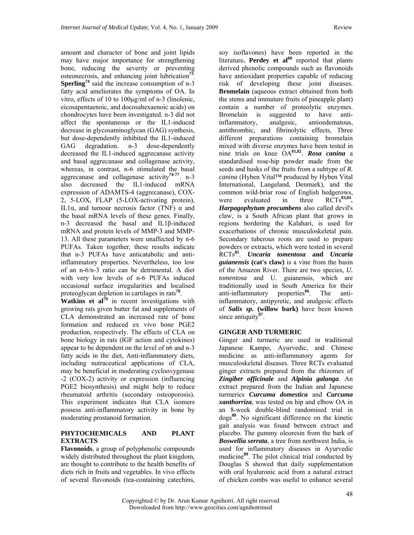amount and character of bone and joint lipids may have major importance for strengthening bone, reducing the severity or preventing osteonecrosis, and enhancing joint lubrication**<sup>73</sup>**. **Sperling**<sup>74</sup> said the increase consumption of n-3 fatty acid ameliorates the symptoms of OA. In vitro, effects of 10 to 100µg/ml of n-3 (linolenic, eicosapentaenoic, and docosahexaenoic acids) on chondrocytes have been investigated. n-3 did not affect the spontaneous or the IL1-induced decrease in glycosaminoglycan (GAG) synthesis, but dose-dependently inhibited the IL1-induced GAG degradation. n-3 dose-dependently decreased the IL1-induced aggrecanase activity and basal aggrecanase and collagenase activity, whereas, in contrast, n-6 stimulated the basal aggrecanase and collagenase activity**74-77**. n-3 also decreased the IL1-induced mRNA expression of ADAMTS-4 (aggrecanase), COX-2, 5-LOX, FLAP (5-LOX-activating protein), IL1α, and tumour necrosis factor (TNF)  $\alpha$  and the basal mRNA levels of these genes. Finally, n-3 decreased the basal and IL1β-induced mRNA and protein levels of MMP-3 and MMP-13. All these parameters were unaffected by n-6 PUFAs. Taken together, these results indicate that n-3 PUFAs have anticatabolic and antiinflammatory properties. Nevertheless, too low of an n-6/n-3 ratio can be detrimental. A diet with very low levels of n-6 PUFAs induced occasional surface irregularities and localised proteoglycan depletion in cartilages in rats**<sup>78</sup>**.

Watkins et al<sup>79</sup> in recent investigations with growing rats given butter fat and supplements of CLA demonstrated an increased rate of bone formation and reduced ex vivo bone PGE2 production, respectively. The effects of CLA on bone biology in rats (IGF action and cytokines) appear to be dependent on the level of n6 and n-3 fatty acids in the diet, Anti-inflammatory diets, including nutraceutical applications of CLA, may be beneficial in moderating cyclooxygenase -2 (COX-2) activity or expression (influencing PGE2 biosynthesis) and might help to reduce rheumatoid arthritis (secondary osteoporosis). This experiment indicates that CLA isomers possess anti-inflammatory activity in bone by moderating prostanoid formation.

# **PHYTOCHEMICALS AND PLANT EXTRACTS**

**Flavonoids**, a group of polyphenolic compounds widely distributed throughout the plant kingdom, are thought to contribute to the health benefits of diets rich in fruits and vegetables. In vivo effects of several flavonoids (tea-containing catechins,

soy isoflavones) have been reported in the literature. Perdey et al<sup>80</sup> reported that plants derived phenolic compounds such as flavonoids have antioxidant properties capable of reducing risk of developing these joint diseases. **Bromelain** (aqueous extract obtained from both the stems and immature fruits of pineapple plant) contain a number of proteolytic enzymes. Bromelain is suggested to have antiinflammatory, analgesic, antioedematous, antithrombic, and fibrinolytic effects, Three different preparations containing bromelain mixed with diverse enzymes have been tested in nine trials on knee OA**81,82**. *Rosa canina* a standardised rose-hip powder made from the seeds and husks of the fruits from a subtype of *R. canina* (Hyben Vital™ produced by Hyben Vital International, Langeland, Denmark), and the common wild-briar rose of English hedgerows, were evaluated in three RCTs**83,84.**  *Harpagophytum procumbens* also called devil's claw, is a South African plant that grows in regions bordering the Kalahari, is used for exacerbations of chronic musculoskeletal pain. Secondary tuberous roots are used to prepare powders or extracts, which were tested in several RCTs**<sup>85</sup>**. *Uncaria tomentosa* **and** *Uncaria guianensis* **(cat's claw)** is a vine from the basin of the Amazon River. There are two species, *U. tomentosa* and U. guianensis, which are traditionally used in South America for their anti-inflammatory properties**<sup>86</sup>**. The antiinflammatory, antipyretic, and analgesic effects of *Salix sp.* **(willow bark)** have been known since antiquity**<sup>87</sup>**.

# **GINGER AND TURMERIC**

Ginger and turmeric are used in traditional Japanese Kampo, Ayurvedic, and Chinese medicine as anti-inflammatory agents for musculoskeletal diseases. Three RCTs evaluated ginger extracts prepared from the rhizomes of *Zingiber officinale* and *Alpinia galanga*. An extract prepared from the Indian and Japanese turmerics *Curcuma domestica* and *Curcuma xanthorriza*, was tested on hip and elbow OA in an 8-week double-blind randomised trial in dogs**<sup>88</sup>**. No significant difference on the kinetic gait analysis was found between extract and placebo. The gummy oleoresin from the bark of *Boswellia serrata*, a tree from northwest India, is used for inflammatory diseases in Ayurvedic medicine**<sup>89</sup>**. The pilot clinical trial conducted by Douglas S showed that daily supplementation with oral hyaluronic acid from a natural extract of chicken combs was useful to enhance several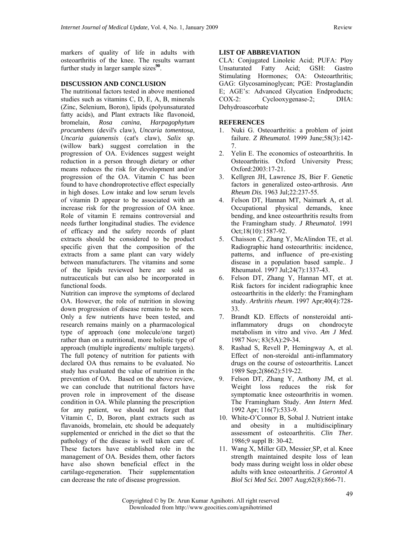markers of quality of life in adults with osteoarthritis of the knee. The results warrant further study in larger sample sizes**<sup>90</sup>**.

### **DISCUSSION AND CONCLUSION**

The nutritional factors tested in above mentioned studies such as vitamins C, D, E, A, B, minerals (Zinc, Selenium, Boron), lipids (polyunsaturated fatty acids), and Plant extracts like flavonoid, bromelain, *Rosa canina*, *Harpagophytum procumbens* (devil's claw), *Uncaria tomentosa*, *Uncaria guianensis* (cat's claw), *Salix sp.*  (willow bark) suggest correlation in the progression of OA. Evidences suggest weight reduction in a person through dietary or other means reduces the risk for development and/or progression of the OA. Vitamin C has been found to have chondroprotective effect especially in high doses. Low intake and low serum levels of vitamin D appear to be associated with an increase risk for the progression of OA knee. Role of vitamin E remains controversial and needs further longitudinal studies. The evidence of efficacy and the safety records of plant extracts should be considered to be product specific given that the composition of the extracts from a same plant can vary widely between manufacturers. The vitamins and some of the lipids reviewed here are sold as nutraceuticals but can also be incorporated in functional foods.

Nutrition can improve the symptoms of declared OA. However, the role of nutrition in slowing down progression of disease remains to be seen. Only a few nutrients have been tested, and research remains mainly on a pharmacological type of approach (one molecule/one target) rather than on a nutritional, more holistic type of approach (multiple ingredients/ multiple targets). The full potency of nutrition for patients with declared OA thus remains to be evaluated. No study has evaluated the value of nutrition in the prevention of OA. Based on the above review, we can conclude that nutritional factors have proven role in improvement of the disease condition in OA. While planning the prescription for any patient, we should not forget that Vitamin C, D, Boron, plant extracts such as flavanoids, bromelain, etc should be adequately supplemented or enriched in the diet so that the pathology of the disease is well taken care of. These factors have established role in the management of OA. Besides them, other factors have also shown beneficial effect in the cartilage-regeneration. Their supplementation can decrease the rate of disease progression.

# **LIST OF ABBREVIATION**

CLA: Conjugated Linoleic Acid; PUFA: Ploy Unsaturated Fatty Acid; GSH: Gastro Stimulating Hormones; OA: Osteoarthritis; GAG: Glycosaminoglycan; PGE: Prostaglandin E; AGE's: Advanced Glycation Endproducts; COX-2: Cyclooxygenase-2; DHA: Dehydroascorbate

# **REFERENCES**

- 1. Nuki G. Osteoarthritis: a problem of joint failure. *Z Rheumatol.* 1999 June;58(3):142- 7.
- 2. Yelin E. The economics of osteoarthritis. In Osteoarthritis. Oxford University Press; Oxford:2003:17-21.
- 3. Kellgren JH, Lawrence JS, Bier F. Genetic factors in generalized osteo-arthrosis. *Ann Rheum Dis.* 1963 Jul;22:237-55.
- 4. Felson DT, Hannan MT, Naimark A, et al. Occupational physical demands, knee bending, and knee osteoarthritis results from the Framingham study. *J Rheumatol.* 1991 Oct;18(10):1587-92.
- 5. Chaisson C, Zhang Y, McAlindon TE, et al. Radiographic hand osteoarthritis: incidence, patterns, and influence of pre-existing disease in a population based sample.. J Rheumatol. 1997 Jul;24(7):1337-43.
- 6. Felson DT, Zhang Y, Hannan MT, et at. Risk factors for incident radiographic knee osteoarthritis in the elderly: the Framingham study. *Arthritis rheum*. 1997 Apr;40(4):728- 33.
- 7. Brandt KD. Effects of nonsteroidal antiinflammatory drugs on chondrocyte metabolism in vitro and vivo. *Am J Med.* 1987 Nov; 83(5A):29-34.
- 8. Rashad S, Revell P, Hemingway A, et al. Effect of non-steroidal anti-inflammatory drugs on the course of osteoarthritis. Lancet 1989 Sep;2(8662):519-22.
- 9. Felson DT, Zhang Y, Anthony JM, et al. Weight loss reduces the risk for symptomatic knee osteoarthritis in women. The Framingham Study. *Ann Intern Med.* 1992 Apr; 116(7):533-9.
- 10. White-O'Connor B, Sobal J. Nutrient intake and obesity in a multidisciplinary assessment of osteoarthritis. *Clin Ther.* 1986;9 suppl B: 30-42.
- 11. Wang X, Miller GD, Messier SP, et al. Knee strength maintained despite loss of lean body mass during weight loss in older obese adults with knee osteoarthritis. *J Gerontol A Biol Sci Med Sci.* 2007 Aug;62(8):866-71.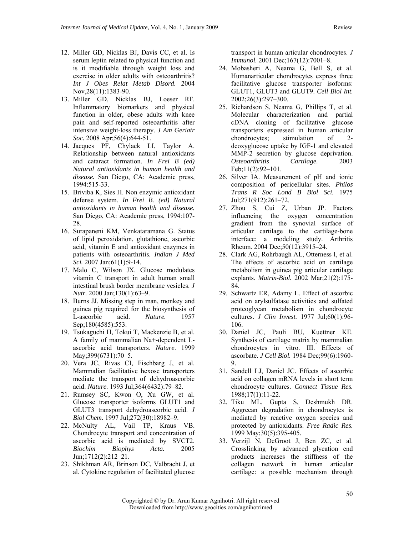- 12. Miller GD, Nicklas BJ, Davis CC, et al. Is serum leptin related to physical function and is it modifiable through weight loss and exercise in older adults with osteoarthritis? *Int J Obes Relat Metab Disord.* 2004 Nov,28(11):1383-90.
- 13. Miller GD, Nicklas BJ, Loeser RF. Inflammatory biomarkers and physical function in older, obese adults with knee pain and self-reported osteoarthritis after intensive weight-loss therapy. *J Am Geriatr Soc.* 2008 Apr;56(4):644-51.
- 14. Jacques PF, Chylack LI, Taylor A. Relationship between natural antioxidants and cataract formation. *In Frei B (ed) Natural antioxidants in human health and disease.* San Diego, CA: Academic press, 1994:515-33.
- 15. Briviba K, Sies H. Non enzymic antioxidant defense system. *In Frei B. (ed) Natural antioxidants in human health and disease.* San Diego, CA: Academic press, 1994:107- 28.
- 16. Surapaneni KM, Venkataramana G. Status of lipid peroxidation, glutathione, ascorbic acid, vitamin E and antioxidant enzymes in patients with osteoarthritis. *Indian J Med Sci.* 2007 Jan;61(1):9-14.
- 17. Malo C, Wilson JX. Glucose modulates vitamin C transport in adult human small intestinal brush border membrane vesicles. *J Nutr.* 2000 Jan;130(1):63–9.
- 18. Burns JJ. Missing step in man, monkey and guinea pig required for the biosynthesis of L-ascorbic acid. *Nature.* 1957 Sep;180(4585):553.
- 19. Tsukaguchi H, Tokui T, Mackenzie B, et al. A family of mammalian Na+-dependent Lascorbic acid transporters. *Nature*. 1999 May;399(6731):70–5.
- 20. Vera JC, Rivas CI, Fischbarg J, et al. Mammalian facilitative hexose transporters mediate the transport of dehydroascorbic acid. *Nature.* 1993 Jul;364(6432):79–82.
- 21. Rumsey SC, Kwon O, Xu GW, et al. Glucose transporter isoforms GLUT1 and GLUT3 transport dehydroascorbic acid. *J Biol Chem.* 1997 Jul;272(30):18982–9.
- 22. McNulty AL, Vail TP, Kraus VB. Chondrocyte transport and concentration of ascorbic acid is mediated by SVCT2. *Biochim Biophys Acta.* 2005 Jun;1712(2):212–21.
- 23. Shikhman AR, Brinson DC, Valbracht J, et al. Cytokine regulation of facilitated glucose

transport in human articular chondrocytes. *J Immunol.* 2001 Dec; 167(12): 7001–8.

- 24. Mobasheri A, Neama G, Bell S, et al. Humanarticular chondrocytes express three facilitative glucose transporter isoforms: GLUT1, GLUT3 and GLUT9. *Cell Biol Int.* 2002;26(3):297–300.
- 25. Richardson S, Neama G, Phillips T, et al. Molecular characterization and partial cDNA cloning of facilitative glucose transporters expressed in human articular chondrocytes; stimulation of 2 deoxyglucose uptake by IGF-1 and elevated MMP-2 secretion by glucose deprivation. *Osteoarthritis Cartilage.* 2003 Feb;11(2):92–101.
- 26. Silver IA. Measurement of pH and ionic composition of pericellular sites. *Philos Trans R Soc Lond B Biol Sci.* 1975 Jul;271(912):261–72.
- 27. Zhou S, Cui Z, Urban JP. Factors influencing the oxygen concentration gradient from the synovial surface of articular cartilage to the cartilage-bone interface: a modeling study. Arthritis Rheum. 2004 Dec;50(12):3915–24.
- 28. Clark AG, Rohrbaugh AL, Otterness I, et al. The effects of ascorbic acid on cartilage metabolism in guinea pig articular cartilage explants. *Matrix-Biol.* 2002 Mar;21(2):175- 84.
- 29. Schwartz ER, Adamy L. Effect of ascorbic acid on arylsulfatase activities and sulfated proteoglycan metabolism in chondrocyte cultures. *J Clin Invest.* 1977 Jul;60(1):96- 106.
- 30. Daniel JC, Pauli BU, Kuettner KE. Synthesis of cartilage matrix by mammalian chondrocytes in vitro. III. Effects of ascorbate. *J Cell Biol.* 1984 Dec;99(6):1960- 9.
- 31. Sandell LJ, Daniel JC. Effects of ascorbic acid on collagen mRNA levels in short term chondrocyte cultures. *Connect Tissue Res.* 1988;17(1):11-22.
- 32. Tiku ML, Gupta S, Deshmukh DR. Aggrecan degradation in chondrocytes is mediated by reactive oxygen species and protected by antioxidants. *Free Radic Res.* 1999 May;30(5):395-405.
- 33. Verzijl N, DeGroot J, Ben ZC, et al. Crosslinking by advanced glycation end products increases the stiffness of the collagen network in human articular cartilage: a possible mechanism through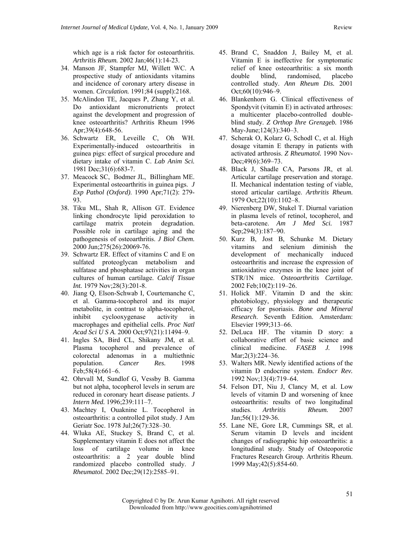which age is a risk factor for osteoarthritis. *Arthritis Rheum.* 2002 Jan;46(1):14-23.

- 34. Manson JF, Stampfer MJ, Willett WC. A prospective study of antioxidants vitamins and incidence of coronary artery disease in women. *Circulation.* 1991;84 (suppl):2168.
- 35. McAlindon TE, Jacques P, Zhang Y, et al. Do antioxidant micronutrients protect against the development and progression of knee osteoarthritis? Arthritis Rheum 1996 Apr;39(4):648-56.
- 36. Schwartz ER, Leveille C, Oh WH. Experimentally-induced osteoarthritis in guinea pigs: effect of surgical procedure and dietary intake of vitamin C. *Lab Anim Sci.* 1981 Dec;31(6):683-7.
- 37. Meacock SC, Bodmer JL, BiIlingham ME. Experimental osteoarthritis in guinea pigs. *J Exp Pathol (Oxford)*. 1990 Apr;71(2): 279- 93.
- 38. Tiku ML, Shah R, Allison GT. Evidence linking chondrocyte lipid peroxidation to cartilage matrix protein degradation. Possible role in cartilage aging and the pathogenesis of osteoarthritis. *J Biol Chem.* 2000 Jun;275(26):20069-76.
- 39. Schwartz ER. Effect of vitamins C and E on sulfated proteoglycan metabolism and sulfatase and phosphatase activities in organ cultures of human cartilage. *Calcif Tissue Int.* 1979 Nov;28(3):201-8.
- 40. Jiang Q, Elson-Schwab I, Courtemanche C, et al. Gamma-tocopherol and its major metabolite, in contrast to alpha-tocopherol, inhibit cyclooxygenase activity in macrophages and epithelial cells. *Proc Natl Acad Sci U S A.* 2000 Oct;97(21):11494–9.
- 41. Ingles SA, Bird CL, Shikany JM, et al. Plasma tocopherol and prevalence of colorectal adenomas in a multiethnic population. *Cancer Res.* 1998 Feb;58(4):661–6.
- 42. Ohrvall M, Sundlof G, Vessby B. Gamma but not alpha, tocopherol levels in serum are reduced in coronary heart disease patients. *J Intern Med.* 1996;239:111–7.
- 43. Machtey I, Ouaknine L. Tocopherol in osteoarthritis: a controlled pilot study. J Am Geriatr Soc. 1978 Jul;26(7):328–30.
- 44. Wluka AE, Stuckey S, Brand C, et al. Supplementary vitamin E does not affect the loss of cartilage volume in knee osteoarthritis: a 2 year double blind randomized placebo controlled study. *J Rheumatol.* 2002 Dec;29(12):2585–91.
- 45. Brand C, Snaddon J, Bailey M, et al. Vitamin E is ineffective for symptomatic relief of knee osteoarthritis: a six month double blind, randomised, placebo controlled study. *Ann Rheum Dis.* 2001  $Oct; 60(10): 946-9.$
- 46. Blankenhorn G. Clinical effectiveness of Spondyvit (vitamin E) in activated arthroses: a multicenter placebo-controlled doubleblind study. *Z Orthop Ihre Grenzgeb.* 1986 May-June;124(3):340–3.
- 47. Scherak O, Kolarz G, Schodl C, et al. High dosage vitamin E therapy in patients with activated arthrosis. *Z Rheumatol.* 1990 Nov-Dec; 49(6): 369-73.
- 48. Black J, Shadle CA, Parsons JR, et al. Articular cartilage preservation and storage. II. Mechanical indentation testing of viable, stored articular cartilage. *Arthritis Rheum.* 1979 Oct;22(10):1102–8.
- 49. Nierenberg DW, Stukel T. Diurnal variation in plasma levels of retinol, tocopherol, and beta-carotene. *Am J Med Sci.* 1987 Sep; 294(3): 187–90.
- 50. Kurz B, Jost B, Schunke M. Dietary vitamins and selenium diminish the development of mechanically induced osteoarthritis and increase the expression of antioxidative enzymes in the knee joint of STR/1N mice. *Osteoarthritis Cartilage.* 2002 Feb;10(2):119–26.
- 51. Holick MF. Vitamin D and the skin: photobiology, physiology and therapeutic efficacy for psoriasis. *Bone and Mineral Research*. Seventh Edition. Amsterdam: Elsevier 1999;313–66.
- 52. DeLuca HF. The vitamin D story: a collaborative effort of basic science and clinical medicine. *FASEB J.* 1998 Mar;2(3):224–36.
- 53. Walters MR. Newly identified actions of the vitamin D endocrine system. *Endocr Rev.* 1992 Nov;13(4):719–64.
- 54. Felson DT, Niu J, Clancy M, et al. Low levels of vitamin D and worsening of knee osteoarthritis: results of two longitudinal studies. *Arthritis Rheum.* 2007 Jan;56(1):129-36.
- 55. Lane NE, Gore LR, Cummings SR, et al. Serum vitamin D levels and incident changes of radiographic hip osteoarthritis: a longitudinal study. Study of Osteoporotic Fractures Research Group. Arthritis Rheum. 1999 May;42(5):854-60.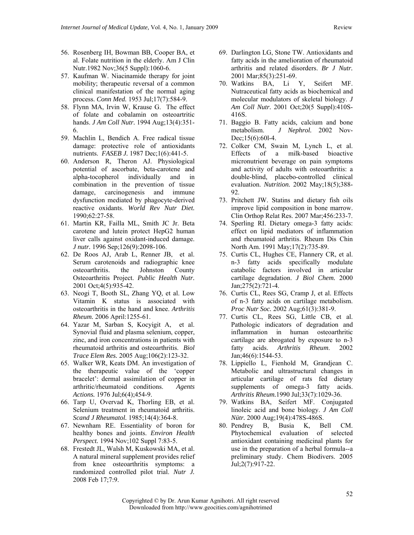- 56. Rosenberg IH, Bowman BB, Cooper BA, et al. Folate nutrition in the elderly. Am J Clin Nutr.1982 Nov;36(5 Suppl):1060-6.
- 57. Kaufman W. Niacinamide therapy for joint mobility; therapeutic reversal of a common clinical manifestation of the normal aging process. *Conn Med.* 1953 Jul;17(7):584-9.
- 58. Flynn MA, Irvin W, Krause G. The effect of folate and cobalamin on osteoartritic hands. *J Am Coll Nutr.* 1994 Aug;13(4):351- 6.
- 59. Machlin L, Bendich A. Free radical tissue damage: protective role of antioxidants nutrients. *FASEB J.* 1987 Dec;1(6):441-5.
- 60. Anderson R, Theron AJ. Physiological potential of ascorbate, beta-carotene and alpha-tocopherol individually and in combination in the prevention of tissue damage, carcinogenesis and immune dysfunction mediated by phagocyte-derived reactive oxidants. *World Rev Nutr Diet.* 1990;62:27-58.
- 61. Martin KR, Failla ML, Smith JC Jr. Beta carotene and lutein protect HepG2 human liver calls against oxidant-induced damage. *J nutr.* 1996 Sep;126(9):2098-106.
- 62. De Roos AJ, Arab L, Renner JB, et al. Serum carotenoids and radiographic knee osteoarthritis. the Johnston County Osteoarthritis Project. *Public Health Nutr.* 2001 Oct;4(5):935-42.
- 63. Neogi T, Booth SL, Zhang YQ, et al. Low Vitamin K status is associated with osteoarthritis in the hand and knee. *Arthritis Rheum.* 2006 April:1255-61.
- 64. Yazar M, Sarban S, Kocyigit A, et al. Synovial fluid and plasma selenium, copper, zinc, and iron concentrations in patients with rheumatoid arthritis and osteoarthritis. *Biol Trace Elem Res.* 2005 Aug;106(2):123-32.
- 65. Walker WR, Keats DM. An investigation of the therapeutic value of the 'copper bracelet': dermal assimilation of copper in arthritic/rheumatoid conditions. *Agents Actions.* 1976 Jul;6(4);454-9.
- 66. Tarp U, Overvad K, Thorling EB, et al. Selenium treatment in rheumatoid arthritis. *Scand J Rheumatol.* 1985;14(4):364-8.
- 67. Newnham RE. Essentiality of boron for healthy bones and joints. *Environ Health Perspect.* 1994 Nov;102 Suppl 7:83-5.
- 68. Frestedt JL, Walsh M, Kuskowski MA, et al. A natural mineral supplement provides relief from knee osteoarthritis symptoms: a randomized controlled pilot trial. *Nutr J.* 2008 Feb 17;7:9.
- 69. Darlington LG, Stone TW. Antioxidants and fatty acids in the amelioration of rheumatoid arthritis and related disorders. *Br J Nutr.* 2001 Mar;85(3):251-69.
- 70. Watkins BA, Li Y, Seifert MF. Nutraceutical fatty acids as biochemical and molecular modulators of skeletal biology. *J Am Coll Nutr.* 2001 Oct;20(5 Suppl):410S-416S.
- 71. Baggio B. Fatty acids, calcium and bone metabolism. *J Nephrol.* 2002 Nov-Dec;15(6):601-4.
- 72. Colker CM, Swain M, Lynch L, et al. Effects of a milk-based bioactive micronutrient beverage on pain symptoms and activity of adults with osteoarthritis: a double-blind, placebo-controlled clinical evaluation. *Nutrition.* 2002 May;18(5);388- 92.
- 73. Pritchett JW. Statins and dietary fish oils improve lipid composition in bone marrow. Clin Orthop Relat Res. 2007 Mar;456:233-7.
- 74. Sperling RI. Dietary omega-3 fatty acids: effect on lipid mediators of inflammation and rheumatoid arthritis. Rheum Dis Chin North Am. 1991 May;17(2):735-89.
- 75. Curtis CL, Hughes CE, Flannery CR, et al. n-3 fatty acids specifically modulate catabolic factors involved in articular cartilage degradation. *J Biol Chem.* 2000 Jan;275(2):721-4.
- 76. Curtis CL, Rees SG, Cramp J, et al. Effects of n-3 fatty acids on cartilage metabolism. *Proc Nutr Soc.* 2002 Aug;61(3):381-9.
- 77. Curtis CL, Rees SG, Little CB, et al. Pathologic indicators of degradation and inflammation in human osteoarthritic cartilage are abrogated by exposure to n-3 fatty acids. *Arthritis Rheum*. 2002 Jan;46(6):1544-53.
- 78. Lippiello L, Fienhold M, Grandjean C. Metabolic and ultrastructural changes in articular cartilage of rats fed dietary supplements of omega-3 fatty acids. *Arthritis Rheum.*1990 Jul;33(7):1029-36.
- 79. Watkins BA, Seifert MF. Conjugated linoleic acid and bone biology. *J Am Coll Nütr.* 2000 Aug;19(4):478S-486S.
- 80. Pendrey B, Busia K, Bell CM. Phytochemical evaluation of selected antioxidant containing medicinal plants for use in the preparation of a herbal formula--a preliminary study. Chem Biodivers. 2005 Jul;2(7):917-22.